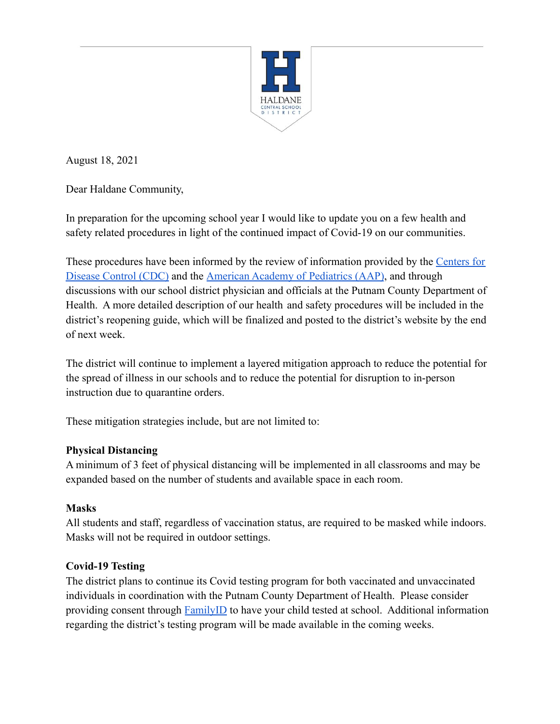

August 18, 2021

Dear Haldane Community,

In preparation for the upcoming school year I would like to update you on a few health and safety related procedures in light of the continued impact of Covid-19 on our communities.

These procedures have been informed by the review of information provided by the [Centers for](https://www.cdc.gov/coronavirus/2019-ncov/community/schools-childcare/k-12-guidance.html) [Disease Control \(CDC\)](https://www.cdc.gov/coronavirus/2019-ncov/community/schools-childcare/k-12-guidance.html) and the [American Academy of](https://services.aap.org/en/pages/2019-novel-coronavirus-covid-19-infections/clinical-guidance/covid-19-planning-considerations-return-to-in-person-education-in-schools/) Pediatrics (AAP), and through discussions with our school district physician and officials at the Putnam County Department of Health. A more detailed description of our health and safety procedures will be included in the district's reopening guide, which will be finalized and posted to the district's website by the end of next week.

The district will continue to implement a layered mitigation approach to reduce the potential for the spread of illness in our schools and to reduce the potential for disruption to in-person instruction due to quarantine orders.

These mitigation strategies include, but are not limited to:

## **Physical Distancing**

A minimum of 3 feet of physical distancing will be implemented in all classrooms and may be expanded based on the number of students and available space in each room.

# **Masks**

All students and staff, regardless of vaccination status, are required to be masked while indoors. Masks will not be required in outdoor settings.

# **Covid-19 Testing**

The district plans to continue its Covid testing program for both vaccinated and unvaccinated individuals in coordination with the Putnam County Department of Health. Please consider providing consent through **[FamilyID](https://www.familyid.com/programs/covid-19-testing-consent-21-22)** to have your child tested at school. Additional information regarding the district's testing program will be made available in the coming weeks.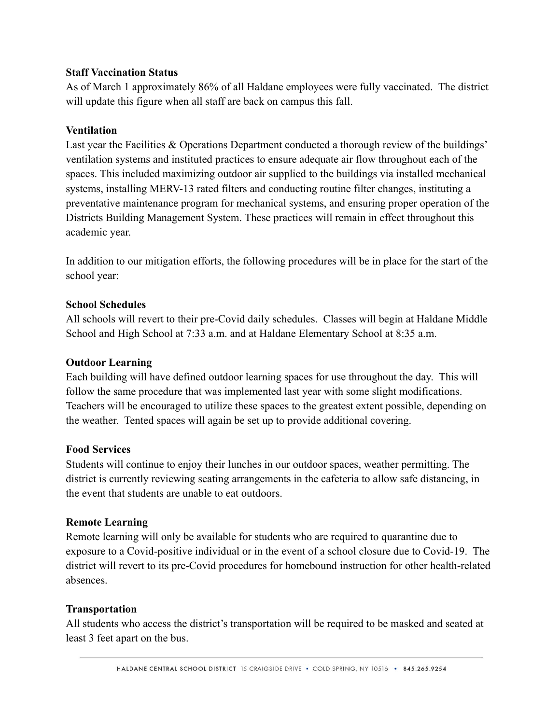### **Staff Vaccination Status**

As of March 1 approximately 86% of all Haldane employees were fully vaccinated. The district will update this figure when all staff are back on campus this fall.

### **Ventilation**

Last year the Facilities & Operations Department conducted a thorough review of the buildings' ventilation systems and instituted practices to ensure adequate air flow throughout each of the spaces. This included maximizing outdoor air supplied to the buildings via installed mechanical systems, installing MERV-13 rated filters and conducting routine filter changes, instituting a preventative maintenance program for mechanical systems, and ensuring proper operation of the Districts Building Management System. These practices will remain in effect throughout this academic year.

In addition to our mitigation efforts, the following procedures will be in place for the start of the school year:

#### **School Schedules**

All schools will revert to their pre-Covid daily schedules. Classes will begin at Haldane Middle School and High School at 7:33 a.m. and at Haldane Elementary School at 8:35 a.m.

#### **Outdoor Learning**

Each building will have defined outdoor learning spaces for use throughout the day. This will follow the same procedure that was implemented last year with some slight modifications. Teachers will be encouraged to utilize these spaces to the greatest extent possible, depending on the weather. Tented spaces will again be set up to provide additional covering.

#### **Food Services**

Students will continue to enjoy their lunches in our outdoor spaces, weather permitting. The district is currently reviewing seating arrangements in the cafeteria to allow safe distancing, in the event that students are unable to eat outdoors.

#### **Remote Learning**

Remote learning will only be available for students who are required to quarantine due to exposure to a Covid-positive individual or in the event of a school closure due to Covid-19. The district will revert to its pre-Covid procedures for homebound instruction for other health-related absences.

#### **Transportation**

All students who access the district's transportation will be required to be masked and seated at least 3 feet apart on the bus.